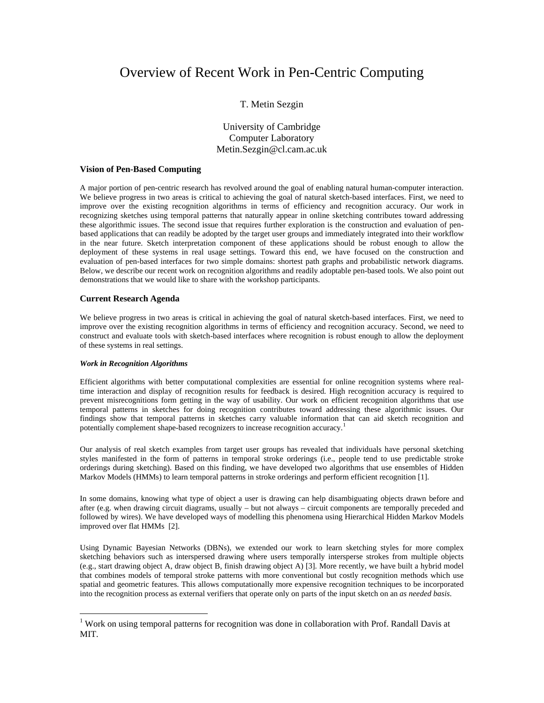# Overview of Recent Work in Pen-Centric Computing

# T. Metin Sezgin

University of Cambridge Computer Laboratory Metin.Sezgin@cl.cam.ac.uk

### **Vision of Pen-Based Computing**

A major portion of pen-centric research has revolved around the goal of enabling natural human-computer interaction. We believe progress in two areas is critical to achieving the goal of natural sketch-based interfaces. First, we need to improve over the existing recognition algorithms in terms of efficiency and recognition accuracy. Our work in recognizing sketches using temporal patterns that naturally appear in online sketching contributes toward addressing these algorithmic issues. The second issue that requires further exploration is the construction and evaluation of penbased applications that can readily be adopted by the target user groups and immediately integrated into their workflow in the near future. Sketch interpretation component of these applications should be robust enough to allow the deployment of these systems in real usage settings. Toward this end, we have focused on the construction and evaluation of pen-based interfaces for two simple domains: shortest path graphs and probabilistic network diagrams. Below, we describe our recent work on recognition algorithms and readily adoptable pen-based tools. We also point out demonstrations that we would like to share with the workshop participants.

### **Current Research Agenda**

We believe progress in two areas is critical in achieving the goal of natural sketch-based interfaces. First, we need to improve over the existing recognition algorithms in terms of efficiency and recognition accuracy. Second, we need to construct and evaluate tools with sketch-based interfaces where recognition is robust enough to allow the deployment of these systems in real settings.

#### *Work in Recognition Algorithms*

 $\overline{a}$ 

Efficient algorithms with better computational complexities are essential for online recognition systems where realtime interaction and display of recognition results for feedback is desired. High recognition accuracy is required to prevent misrecognitions form getting in the way of usability. Our work on efficient recognition algorithms that use temporal patterns in sketches for doing recognition contributes toward addressing these algorithmic issues. Our findings show that temporal patterns in sketches carry valuable information that can aid sketch recognition and potentially complement shape-based recognizers to increase recognition accuracy.[1](#page-0-0)

Our analysis of real sketch examples from target user groups has revealed that individuals have personal sketching styles manifested in the form of patterns in temporal stroke orderings (i.e., people tend to use predictable stroke orderings during sketching). Based on this finding, we have developed two algorithms that use ensembles of Hidden Markov Models (HMMs) to learn temporal patterns in stroke orderings and perform efficient recognition [1].

In some domains, knowing what type of object a user is drawing can help disambiguating objects drawn before and after (e.g. when drawing circuit diagrams, usually – but not always – circuit components are temporally preceded and followed by wires). We have developed ways of modelling this phenomena using Hierarchical Hidden Markov Models improved over flat HMMs [2].

Using Dynamic Bayesian Networks (DBNs), we extended our work to learn sketching styles for more complex sketching behaviors such as interspersed drawing where users temporally intersperse strokes from multiple objects (e.g., start drawing object A, draw object B, finish drawing object A) [3]. More recently, we have built a hybrid model that combines models of temporal stroke patterns with more conventional but costly recognition methods which use spatial and geometric features. This allows computationally more expensive recognition techniques to be incorporated into the recognition process as external verifiers that operate only on parts of the input sketch on an *as needed basis*.

<span id="page-0-0"></span><sup>&</sup>lt;sup>1</sup> Work on using temporal patterns for recognition was done in collaboration with Prof. Randall Davis at MIT.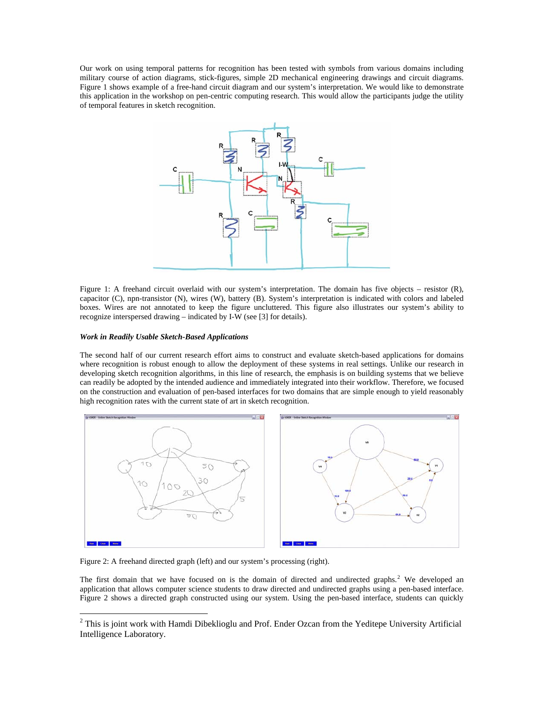Our work on using temporal patterns for recognition has been tested with symbols from various domains including military course of action diagrams, stick-figures, simple 2D mechanical engineering drawings and circuit diagrams. Figure 1 shows example of a free-hand circuit diagram and our system's interpretation. We would like to demonstrate this application in the workshop on pen-centric computing research. This would allow the participants judge the utility of temporal features in sketch recognition.



Figure 1: A freehand circuit overlaid with our system's interpretation. The domain has five objects – resistor (R), capacitor (C), npn-transistor (N), wires (W), battery (B). System's interpretation is indicated with colors and labeled boxes. Wires are not annotated to keep the figure uncluttered. This figure also illustrates our system's ability to recognize interspersed drawing – indicated by I-W (see [3] for details).

## *Work in Readily Usable Sketch-Based Applications*

The second half of our current research effort aims to construct and evaluate sketch-based applications for domains where recognition is robust enough to allow the deployment of these systems in real settings. Unlike our research in developing sketch recognition algorithms, in this line of research, the emphasis is on building systems that we believe can readily be adopted by the intended audience and immediately integrated into their workflow. Therefore, we focused on the construction and evaluation of pen-based interfaces for two domains that are simple enough to yield reasonably high recognition rates with the current state of art in sketch recognition.



Figure 2: A freehand directed graph (left) and our system's processing (right).

The first domain that we have focused on is the domain of directed and undirected graphs.<sup>[2](#page-1-0)</sup> We developed an application that allows computer science students to draw directed and undirected graphs using a pen-based interface. Figure 2 shows a directed graph constructed using our system. Using the pen-based interface, students can quickly

<span id="page-1-0"></span><sup>&</sup>lt;sup>2</sup> This is joint work with Hamdi Dibeklioglu and Prof. Ender Ozcan from the Yeditepe University Artificial Intelligence Laboratory.